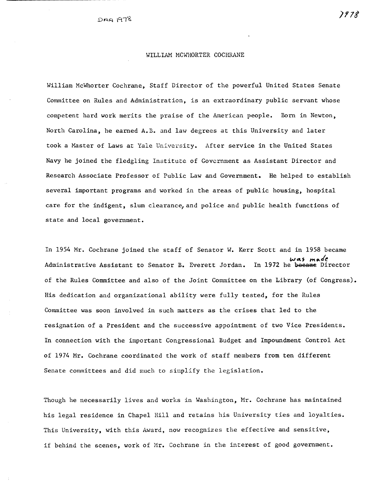# WILLIAM MCWHORTER COCHRANE

William McWhorter Cochrane, Staff Director of the powerful United States Senate Committee on Rules and Administration, is an extraordinary public servant whose competent hard work merits the praise of the American people. Born in Newton, North Carolina, he earned A.B. and law degrees at this University and later took a Master of Laws at Yale University. After service in the United States Navy he joined the fledgling Institute of Government as Assistant Director and Research Associate Professor of Public Law and Government. He helped to establish several important programs and worked in the areas of public housing, hospital care for the indigent, slum clearance,and police and public health functions of state and local government.

In 1954 Mr. Cochrane joined the staff of Senator W. Kerr Scott and in 1958 became was made<br>In 1972 he became Director Administrative Assistant to Senator B. Everett Jordan. of the Rules Committee and also of the Joint Committee on the Library (of Congress). His dedication and organizational ability were fully tested, for the Rules Committee was soon involved in such matters as the crises that led to the resignation of a President and the successive appointment of two Vice Presidents. In connection with the important Congressional Budget and Impoundment Control Act of 1974 Mr. Cochrane coordinated the work of staff members from ten different Senate committees and did much to simplify the legislation.

Though he necessarily lives and works in Washington, Mr. Cochrane has maintained his legal residence in Chapel Hill and retains his University ties and loyalties. This University, with this Award, now recognizes the effective and sensitive, if behind the scenes, work of Mr. Cochrane in the interest of good government.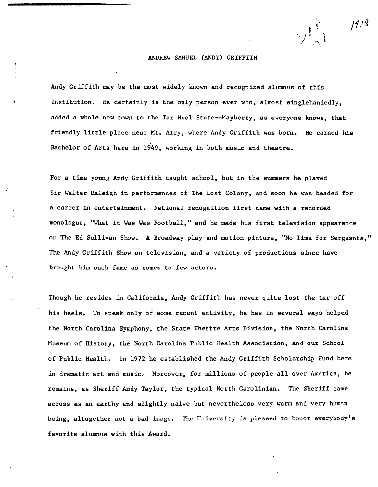# ANDREW SAMUEL (ANDY) GRIFFITH

Andy Griffith may be the most widely known and recognized alumnus of this Institution. He certainly is the only person ever who, almost singlehandedly, added a whole new town to the Tar Heel State--Mayberry, as everyone knows, that friendly little place near Mt. Airy, where Andy Griffith was born. He earned his Bachelor of Arts here in 1949, working in both music and theatre.

For a time young Andy Griffith taught school, but in the summers he played Sir Walter Raleigh in performances of The Lost Colony, and soon he was headed for a career in entertainment. National recognition first came with a recorded monologue, "What it Was Was Football," and he made his first television appearance on The Ed Sullivan Show. A Broadway play and motion picture, "No Time for Sergeants," The Andy Griffith Show on television, and a variety of productions since have brought him such fame as comes to few actors.

Though he resides in California, Andy Griffith has never quite lost the tar off his heels. To speak only of some recent activity, he has in several ways helped the North Carolina Symphony, the State Theatre Arts Division, the North Carolina Museum of History, the North Carolina Public Health Association, and our School of Public Health. In 1972 he established the Andy Griffith Scholarship Fund here in dramatic art and music. Moreover, for millions of people all over America, he remains, as Sheriff Andy Taylor, the typical North Carolinian. The Sheriff came across as an earthy and slightly naive but nevertheless very warm and very human being, altogether not a bad image. The University is pleased to honor everybody's favorite alumnus with this Award.

/178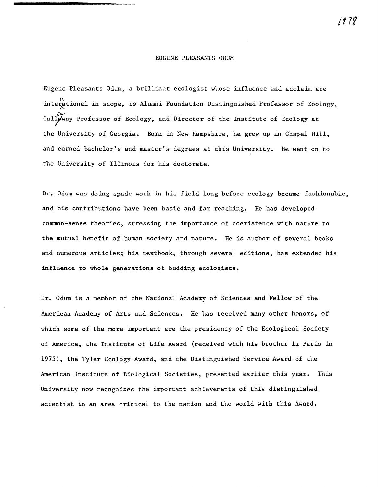#### EUGENE PLEASANTS ODUM

Eugene Pleasants Odum, a brilliant ecologist whose influence and acclaim are interational in scope, is Alumni Foundation Distinguished Professor of Zoology, Calloway Professor of Ecology, and Director of the Institute of Ecology at the University of Georgia. Born in New Hampshire, he grew up in Chapel Hill, and earned bachelor's and master's degrees at this University. He went on to the University of Illinois for his doctorate.

Dr. Odum was doing spade work in his field long before ecology became fashionable, and his contributions have been basic and far reaching. He has developed common-sense theories, stressing the importance of coexistence with nature to the mutual benefit of human society and nature. He is author of several books and numerous articles; his textbook, through several editions, has extended his influence to whole generations of budding ecologists.

Dr. Odum is a member of the National Academy of Sciences and Fellow of the American Academy of Arts and Sciences. He has received many other honors, of which some of the more important are the presidency of the Ecological Society of America, the Institute of Life Award (received with his brother in Paris in 1975), the Tyler Ecology Award, and the Distinguished Service Award of the American Institute of Biological Societies, presented earlier this year. This University now recognizes the important achievements of this distinguished scientist in an area critical to the nation and the world with this Award.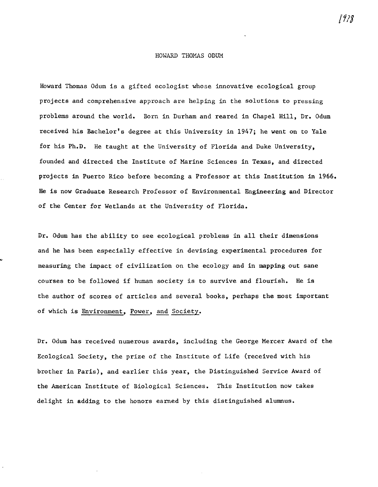### HOWARD THOMAS ODUM

Howard Thomas Odum is a gifted ecologist whose innovative ecological group projects and comprehensive approach are helping in the solutions to pressing problems around the world. Born in Durham and reared in Chapel Hill, Dr. Odum received his Bachelor's degree at this University in 1947; he went on to Yale for his Ph.D. He taught at the University of Florida and Duke University, founded and directed the Institute of Marine Sciences in Texas, and directed projects in Puerto Rico before becoming a Professor at this Institution in 1966. He is now Graduate Research Professor of Environmental Engineering and Director of the Center for Wetlands at the University of Florida.

Dr. Odum has the ability to see ecological problems in all their dimensions and he has been especially effective in devising experimental procedures for measuring the impact of civilization on the ecology and in mapping out sane courses to be followed if human society is to survive and flourish. He is the author of scores of articles and several books, perhaps the most important of which is Environment, Power, and Society.

Dr. Odum has received numerous awards, including the George Mercer Award of the Ecological Society, the prize of the Institute of Life (received with his brother in Paris), and earlier this year, the Distinguished Service Award of the American Institute of Biological Sciences. This Institution now takes delight in adding to the honors earned by this distinguished alumnus.

/f13